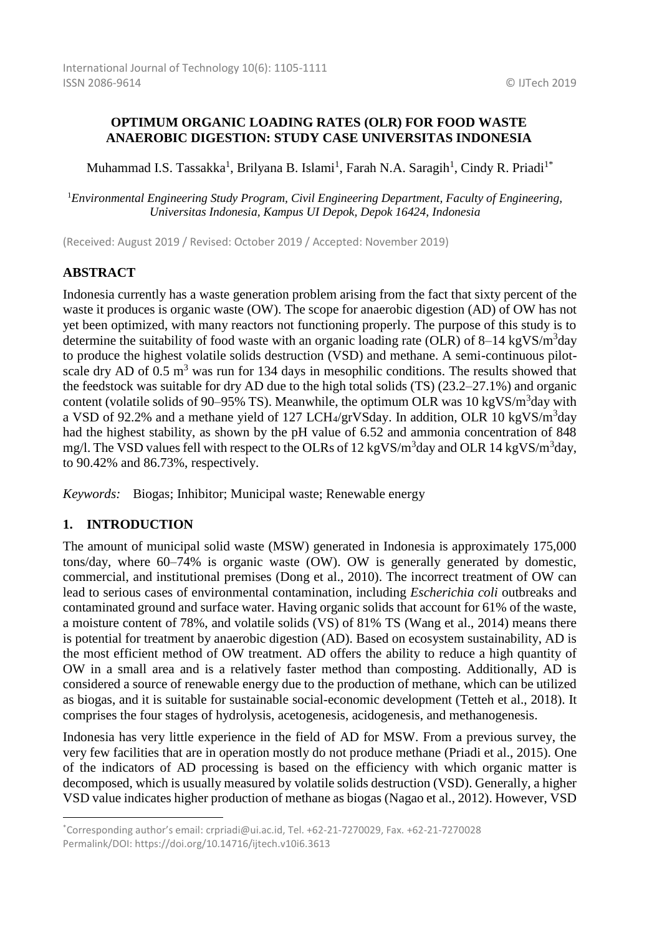### **OPTIMUM ORGANIC LOADING RATES (OLR) FOR FOOD WASTE ANAEROBIC DIGESTION: STUDY CASE UNIVERSITAS INDONESIA**

Muhammad I.S. Tassakka<sup>1</sup>, Brilyana B. Islami<sup>1</sup>, Farah N.A. Saragih<sup>1</sup>, Cindy R. Priadi<sup>1\*</sup>

<sup>1</sup>*Environmental Engineering Study Program, Civil Engineering Department, Faculty of Engineering, Universitas Indonesia, Kampus UI Depok, Depok 16424, Indonesia*

(Received: August 2019 / Revised: October 2019 / Accepted: November 2019)

# **ABSTRACT**

Indonesia currently has a waste generation problem arising from the fact that sixty percent of the waste it produces is organic waste (OW). The scope for anaerobic digestion (AD) of OW has not yet been optimized, with many reactors not functioning properly. The purpose of this study is to determine the suitability of food waste with an organic loading rate (OLR) of 8–14 kgVS/m<sup>3</sup>day to produce the highest volatile solids destruction (VSD) and methane. A semi-continuous pilotscale dry AD of  $0.5 \text{ m}^3$  was run for 134 days in mesophilic conditions. The results showed that the feedstock was suitable for dry AD due to the high total solids (TS) (23.2–27.1%) and organic content (volatile solids of 90–95% TS). Meanwhile, the optimum OLR was  $10 \text{ kgVS/m}^3$ day with a VSD of 92.2% and a methane yield of 127 LCH4/grVSday. In addition, OLR 10 kgVS/m<sup>3</sup>day had the highest stability, as shown by the pH value of 6.52 and ammonia concentration of 848 mg/l. The VSD values fell with respect to the OLRs of 12 kgVS/m<sup>3</sup>day and OLR 14 kgVS/m<sup>3</sup>day, to 90.42% and 86.73%, respectively.

*Keywords:* Biogas; Inhibitor; Municipal waste; Renewable energy

### **1. INTRODUCTION**

1

The amount of municipal solid waste (MSW) generated in Indonesia is approximately 175,000 tons/day, where 60–74% is organic waste (OW). OW is generally generated by domestic, commercial, and institutional premises (Dong et al., 2010). The incorrect treatment of OW can lead to serious cases of environmental contamination, including *Escherichia coli* outbreaks and contaminated ground and surface water. Having organic solids that account for 61% of the waste, a moisture content of 78%, and volatile solids (VS) of 81% TS (Wang et al., 2014) means there is potential for treatment by anaerobic digestion (AD). Based on ecosystem sustainability, AD is the most efficient method of OW treatment. AD offers the ability to reduce a high quantity of OW in a small area and is a relatively faster method than composting. Additionally, AD is considered a source of renewable energy due to the production of methane, which can be utilized as biogas, and it is suitable for sustainable social-economic development (Tetteh et al., 2018). It comprises the four stages of hydrolysis, acetogenesis, acidogenesis, and methanogenesis.

Indonesia has very little experience in the field of AD for MSW. From a previous survey, the very few facilities that are in operation mostly do not produce methane (Priadi et al., 2015). One of the indicators of AD processing is based on the efficiency with which organic matter is decomposed, which is usually measured by volatile solids destruction (VSD). Generally, a higher VSD value indicates higher production of methane as biogas (Nagao et al., 2012). However, VSD

<sup>\*</sup>Corresponding author's email: crpriadi@ui.ac.id, Tel. +62-21-7270029, Fax. +62-21-7270028 Permalink/DOI: https://doi.org/10.14716/ijtech.v10i6.3613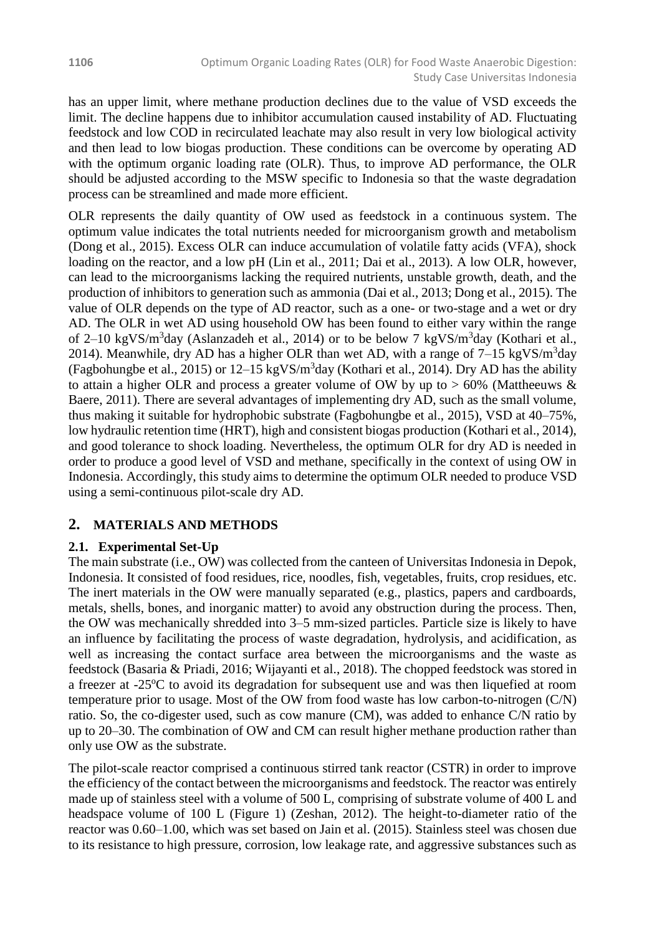has an upper limit, where methane production declines due to the value of VSD exceeds the limit. The decline happens due to inhibitor accumulation caused instability of AD. Fluctuating feedstock and low COD in recirculated leachate may also result in very low biological activity and then lead to low biogas production. These conditions can be overcome by operating AD with the optimum organic loading rate (OLR). Thus, to improve AD performance, the OLR should be adjusted according to the MSW specific to Indonesia so that the waste degradation process can be streamlined and made more efficient.

OLR represents the daily quantity of OW used as feedstock in a continuous system. The optimum value indicates the total nutrients needed for microorganism growth and metabolism (Dong et al., 2015). Excess OLR can induce accumulation of volatile fatty acids (VFA), shock loading on the reactor, and a low pH (Lin et al., 2011; Dai et al., 2013). A low OLR, however, can lead to the microorganisms lacking the required nutrients, unstable growth, death, and the production of inhibitors to generation such as ammonia (Dai et al., 2013; Dong et al., 2015). The value of OLR depends on the type of AD reactor, such as a one- or two-stage and a wet or dry AD. The OLR in wet AD using household OW has been found to either vary within the range of 2–10 kgVS/m<sup>3</sup>day (Aslanzadeh et al., 2014) or to be below 7 kgVS/m<sup>3</sup>day (Kothari et al., 2014). Meanwhile, dry AD has a higher OLR than wet AD, with a range of  $7-15 \text{ kgVS/m}^3$ day (Fagbohungbe et al., 2015) or  $12-15 \text{ kgVS/m}^3$ day (Kothari et al., 2014). Dry AD has the ability to attain a higher OLR and process a greater volume of OW by up to  $> 60\%$  (Mattheeuws  $\&$ Baere, 2011). There are several advantages of implementing dry AD, such as the small volume, thus making it suitable for hydrophobic substrate (Fagbohungbe et al., 2015), VSD at 40–75%, low hydraulic retention time (HRT), high and consistent biogas production (Kothari et al., 2014), and good tolerance to shock loading. Nevertheless, the optimum OLR for dry AD is needed in order to produce a good level of VSD and methane, specifically in the context of using OW in Indonesia. Accordingly, this study aims to determine the optimum OLR needed to produce VSD using a semi-continuous pilot-scale dry AD.

# **2. MATERIALS AND METHODS**

# **2.1. Experimental Set-Up**

The main substrate (i.e., OW) was collected from the canteen of Universitas Indonesia in Depok, Indonesia. It consisted of food residues, rice, noodles, fish, vegetables, fruits, crop residues, etc. The inert materials in the OW were manually separated (e.g., plastics, papers and cardboards, metals, shells, bones, and inorganic matter) to avoid any obstruction during the process. Then, the OW was mechanically shredded into 3–5 mm-sized particles. Particle size is likely to have an influence by facilitating the process of waste degradation, hydrolysis, and acidification, as well as increasing the contact surface area between the microorganisms and the waste as feedstock (Basaria & Priadi, 2016; Wijayanti et al., 2018). The chopped feedstock was stored in a freezer at  $-25^{\circ}\text{C}$  to avoid its degradation for subsequent use and was then liquefied at room temperature prior to usage. Most of the OW from food waste has low carbon-to-nitrogen (C/N) ratio. So, the co-digester used, such as cow manure (CM), was added to enhance C/N ratio by up to 20–30. The combination of OW and CM can result higher methane production rather than only use OW as the substrate.

The pilot-scale reactor comprised a continuous stirred tank reactor (CSTR) in order to improve the efficiency of the contact between the microorganisms and feedstock. The reactor was entirely made up of stainless steel with a volume of 500 L, comprising of substrate volume of 400 L and headspace volume of 100 L (Figure 1) (Zeshan, 2012). The height-to-diameter ratio of the reactor was 0.60–1.00, which was set based on Jain et al. (2015). Stainless steel was chosen due to its resistance to high pressure, corrosion, low leakage rate, and aggressive substances such as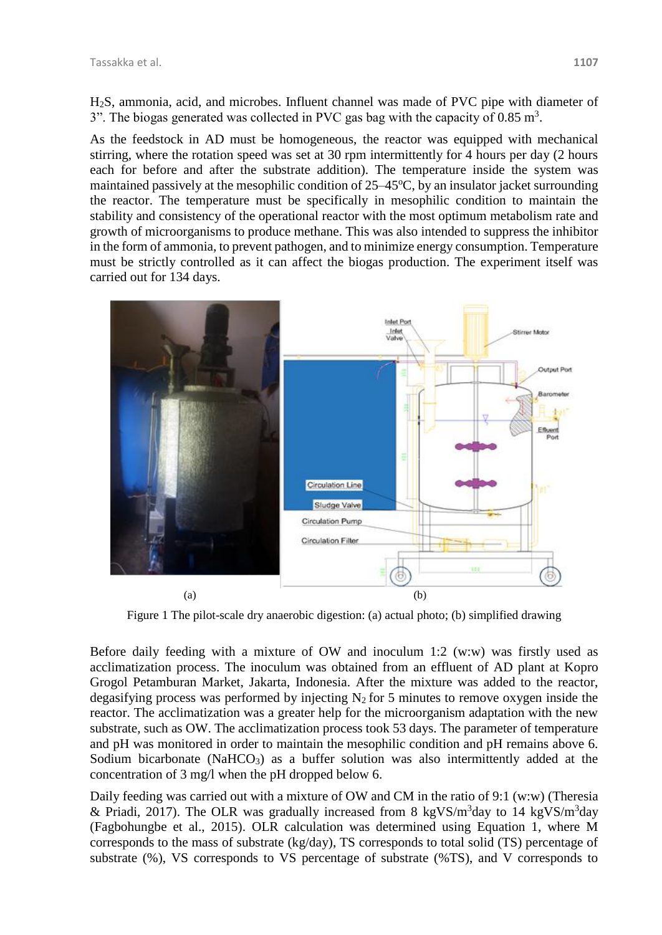H2S, ammonia, acid, and microbes. Influent channel was made of PVC pipe with diameter of 3". The biogas generated was collected in PVC gas bag with the capacity of  $0.85 \text{ m}^3$ .

As the feedstock in AD must be homogeneous, the reactor was equipped with mechanical stirring, where the rotation speed was set at 30 rpm intermittently for 4 hours per day (2 hours each for before and after the substrate addition). The temperature inside the system was maintained passively at the mesophilic condition of  $25-45^{\circ}$ C, by an insulator jacket surrounding the reactor. The temperature must be specifically in mesophilic condition to maintain the stability and consistency of the operational reactor with the most optimum metabolism rate and growth of microorganisms to produce methane. This was also intended to suppress the inhibitor in the form of ammonia, to prevent pathogen, and to minimize energy consumption. Temperature must be strictly controlled as it can affect the biogas production. The experiment itself was carried out for 134 days.



Figure 1 The pilot-scale dry anaerobic digestion: (a) actual photo; (b) simplified drawing

Before daily feeding with a mixture of OW and inoculum 1:2 (w:w) was firstly used as acclimatization process. The inoculum was obtained from an effluent of AD plant at Kopro Grogol Petamburan Market, Jakarta, Indonesia. After the mixture was added to the reactor, degasifying process was performed by injecting  $N_2$  for 5 minutes to remove oxygen inside the reactor. The acclimatization was a greater help for the microorganism adaptation with the new substrate, such as OW. The acclimatization process took 53 days. The parameter of temperature and pH was monitored in order to maintain the mesophilic condition and pH remains above 6. Sodium bicarbonate (NaHCO<sub>3</sub>) as a buffer solution was also intermittently added at the concentration of 3 mg/l when the pH dropped below 6.

Daily feeding was carried out with a mixture of OW and CM in the ratio of 9:1 (w:w) (Theresia & Priadi, 2017). The OLR was gradually increased from 8 kgVS/m<sup>3</sup>day to 14 kgVS/m<sup>3</sup>day (Fagbohungbe et al., 2015). OLR calculation was determined using Equation 1, where M corresponds to the mass of substrate (kg/day), TS corresponds to total solid (TS) percentage of substrate (%), VS corresponds to VS percentage of substrate (%TS), and V corresponds to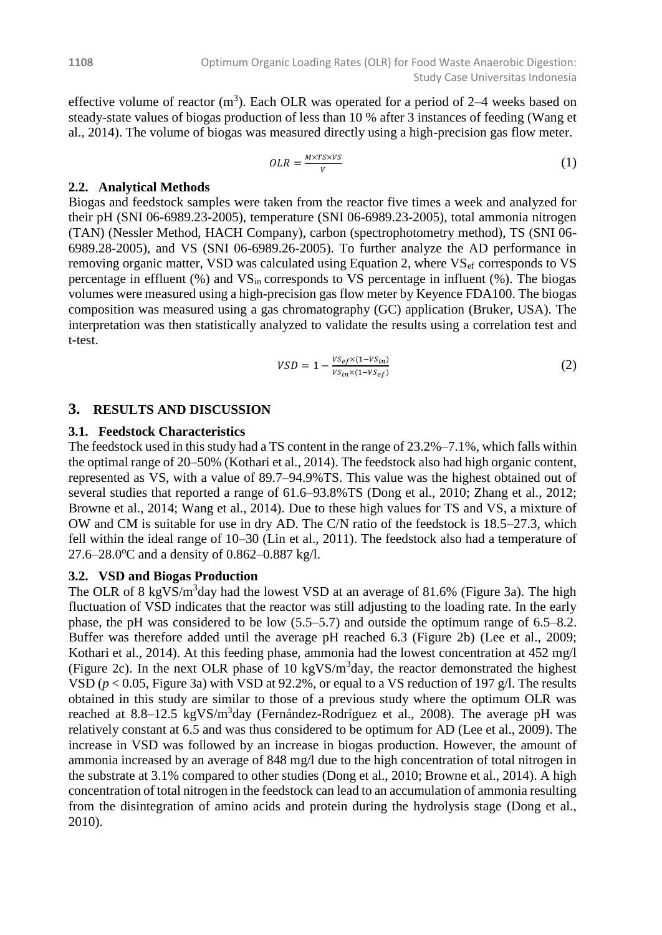effective volume of reactor  $(m^3)$ . Each OLR was operated for a period of 2–4 weeks based on steady-state values of biogas production of less than 10 % after 3 instances of feeding (Wang et al., 2014). The volume of biogas was measured directly using a high-precision gas flow meter.

$$
OLR = \frac{M \times TS \times VS}{V} \tag{1}
$$

#### **2.2. Analytical Methods**

Biogas and feedstock samples were taken from the reactor five times a week and analyzed for their pH (SNI 06-6989.23-2005), temperature (SNI 06-6989.23-2005), total ammonia nitrogen (TAN) (Nessler Method, HACH Company), carbon (spectrophotometry method), TS (SNI 06- 6989.28-2005), and VS (SNI 06-6989.26-2005). To further analyze the AD performance in removing organic matter, VSD was calculated using Equation 2, where  $VS<sub>ef</sub>$  corresponds to VS percentage in effluent  $(\%)$  and  $VS_{in}$  corresponds to VS percentage in influent  $(\%)$ . The biogas volumes were measured using a high-precision gas flow meter by Keyence FDA100. The biogas composition was measured using a gas chromatography (GC) application (Bruker, USA). The interpretation was then statistically analyzed to validate the results using a correlation test and t-test.

$$
VSD = 1 - \frac{vs_{ef} \times (1 - vs_{in})}{vs_{in} \times (1 - vs_{ef})}
$$
\n
$$
\tag{2}
$$

### **3. RESULTS AND DISCUSSION**

#### **3.1. Feedstock Characteristics**

The feedstock used in this study had a TS content in the range of 23.2%–7.1%, which falls within the optimal range of 20–50% (Kothari et al., 2014). The feedstock also had high organic content, represented as VS, with a value of 89.7–94.9%TS. This value was the highest obtained out of several studies that reported a range of 61.6–93.8%TS (Dong et al., 2010; Zhang et al., 2012; Browne et al., 2014; Wang et al., 2014). Due to these high values for TS and VS, a mixture of OW and CM is suitable for use in dry AD. The C/N ratio of the feedstock is 18.5–27.3, which fell within the ideal range of 10–30 (Lin et al., 2011). The feedstock also had a temperature of 27.6–28.0 $^{\circ}$ C and a density of 0.862–0.887 kg/l.

#### **3.2. VSD and Biogas Production**

The OLR of 8 kgVS/m<sup>3</sup>day had the lowest VSD at an average of 81.6% (Figure 3a). The high fluctuation of VSD indicates that the reactor was still adjusting to the loading rate. In the early phase, the pH was considered to be low (5.5–5.7) and outside the optimum range of 6.5–8.2. Buffer was therefore added until the average pH reached 6.3 (Figure 2b) (Lee et al., 2009; Kothari et al., 2014). At this feeding phase, ammonia had the lowest concentration at 452 mg/l (Figure 2c). In the next OLR phase of 10 kgVS/ $m<sup>3</sup>$ day, the reactor demonstrated the highest VSD (*p* < 0.05, Figure 3a) with VSD at 92.2%, or equal to a VS reduction of 197 g/l. The results obtained in this study are similar to those of a previous study where the optimum OLR was reached at 8.8–12.5 kgVS/m<sup>3</sup>day (Fernández-Rodríguez et al., 2008). The average pH was relatively constant at 6.5 and was thus considered to be optimum for AD (Lee et al., 2009). The increase in VSD was followed by an increase in biogas production. However, the amount of ammonia increased by an average of 848 mg/l due to the high concentration of total nitrogen in the substrate at 3.1% compared to other studies (Dong et al., 2010; Browne et al., 2014). A high concentration of total nitrogen in the feedstock can lead to an accumulation of ammonia resulting from the disintegration of amino acids and protein during the hydrolysis stage (Dong et al., 2010).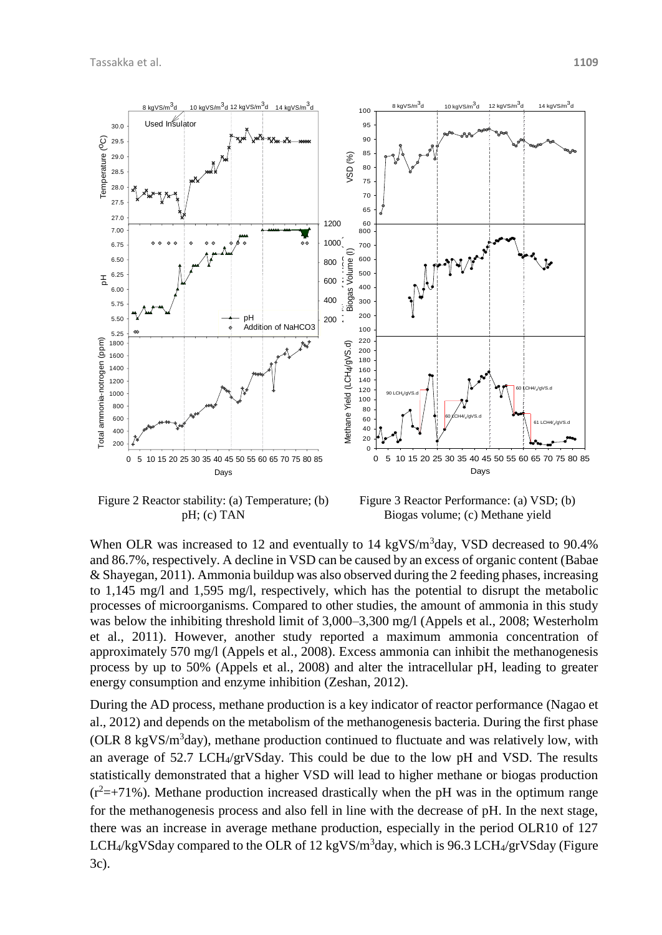

Figure 2 Reactor stability: (a) Temperature; (b) pH; (c) TAN

Figure 3 Reactor Performance: (a) VSD; (b) Biogas volume; (c) Methane yield

When OLR was increased to 12 and eventually to 14 kgVS/m<sup>3</sup>day, VSD decreased to 90.4% and 86.7%, respectively. A decline in VSD can be caused by an excess of organic content (Babae & Shayegan, 2011). Ammonia buildup was also observed during the 2 feeding phases, increasing to 1,145 mg/l and 1,595 mg/l, respectively, which has the potential to disrupt the metabolic processes of microorganisms. Compared to other studies, the amount of ammonia in this study was below the inhibiting threshold limit of 3,000–3,300 mg/l (Appels et al., 2008; Westerholm et al., 2011). However, another study reported a maximum ammonia concentration of approximately 570 mg/l (Appels et al., 2008). Excess ammonia can inhibit the methanogenesis process by up to 50% (Appels et al., 2008) and alter the intracellular pH, leading to greater energy consumption and enzyme inhibition (Zeshan, 2012).

During the AD process, methane production is a key indicator of reactor performance (Nagao et al., 2012) and depends on the metabolism of the methanogenesis bacteria. During the first phase (OLR 8 kgVS/m<sup>3</sup> day), methane production continued to fluctuate and was relatively low, with an average of 52.7 LCH4/grVSday. This could be due to the low pH and VSD. The results statistically demonstrated that a higher VSD will lead to higher methane or biogas production  $(r^2=+71\%)$ . Methane production increased drastically when the pH was in the optimum range for the methanogenesis process and also fell in line with the decrease of pH. In the next stage, there was an increase in average methane production, especially in the period OLR10 of 127 LCH<sub>4</sub>/kgVSday compared to the OLR of 12 kgVS/m<sup>3</sup>day, which is 96.3 LCH<sub>4</sub>/grVSday (Figure 3c).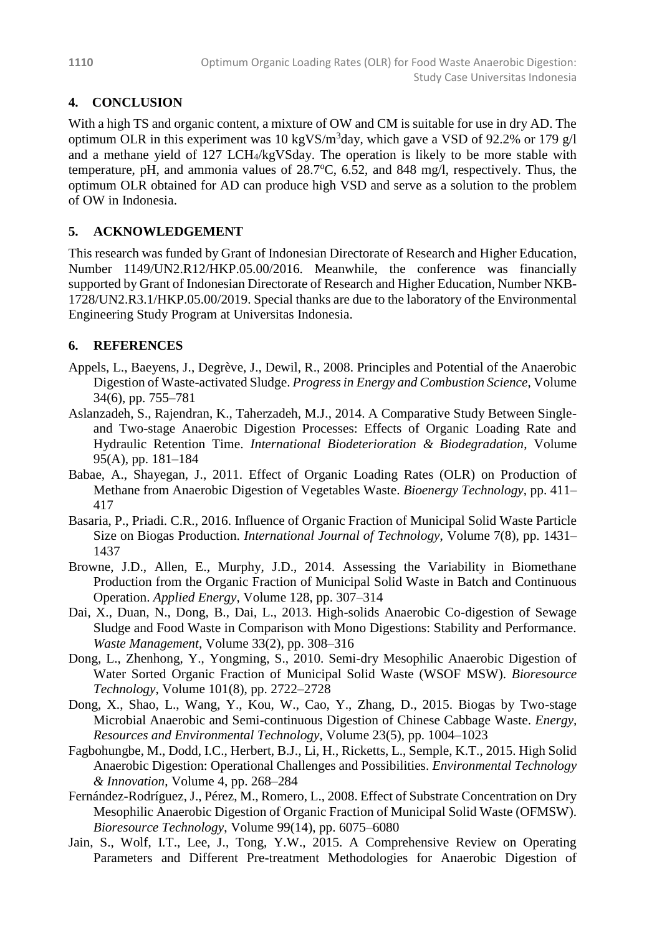# **4. CONCLUSION**

With a high TS and organic content, a mixture of OW and CM is suitable for use in dry AD. The optimum OLR in this experiment was 10 kgVS/m<sup>3</sup>day, which gave a VSD of 92.2% or 179  $g/1$ and a methane yield of 127 LCH4/kgVSday. The operation is likely to be more stable with temperature, pH, and ammonia values of  $28.7^{\circ}$ C, 6.52, and 848 mg/l, respectively. Thus, the optimum OLR obtained for AD can produce high VSD and serve as a solution to the problem of OW in Indonesia.

# **5. ACKNOWLEDGEMENT**

This research was funded by Grant of Indonesian Directorate of Research and Higher Education, Number 1149/UN2.R12/HKP.05.00/2016. Meanwhile, the conference was financially supported by Grant of Indonesian Directorate of Research and Higher Education, Number NKB-1728/UN2.R3.1/HKP.05.00/2019. Special thanks are due to the laboratory of the Environmental Engineering Study Program at Universitas Indonesia.

# **6. REFERENCES**

- Appels, L., Baeyens, J., Degrève, J., Dewil, R., 2008. Principles and Potential of the Anaerobic Digestion of Waste-activated Sludge. *Progress in Energy and Combustion Science*, Volume 34(6), pp. 755–781
- Aslanzadeh, S., Rajendran, K., Taherzadeh, M.J., 2014. A Comparative Study Between Singleand Two-stage Anaerobic Digestion Processes: Effects of Organic Loading Rate and Hydraulic Retention Time. *International Biodeterioration & Biodegradation*, Volume 95(A), pp. 181–184
- Babae, A., Shayegan, J., 2011. Effect of Organic Loading Rates (OLR) on Production of Methane from Anaerobic Digestion of Vegetables Waste. *Bioenergy Technology*, pp. 411– 417
- Basaria, P., Priadi. C.R., 2016. Influence of Organic Fraction of Municipal Solid Waste Particle Size on Biogas Production. *International Journal of Technology*, Volume 7(8), pp. 1431– 1437
- Browne, J.D., Allen, E., Murphy, J.D., 2014. Assessing the Variability in Biomethane Production from the Organic Fraction of Municipal Solid Waste in Batch and Continuous Operation. *Applied Energy*, Volume 128, pp. 307–314
- Dai, X., Duan, N., Dong, B., Dai, L., 2013. High-solids Anaerobic Co-digestion of Sewage Sludge and Food Waste in Comparison with Mono Digestions: Stability and Performance. *Waste Management*, Volume 33(2), pp. 308–316
- Dong, L., Zhenhong, Y., Yongming, S., 2010. Semi-dry Mesophilic Anaerobic Digestion of Water Sorted Organic Fraction of Municipal Solid Waste (WSOF MSW). *Bioresource Technology*, Volume 101(8), pp. 2722–2728
- Dong, X., Shao, L., Wang, Y., Kou, W., Cao, Y., Zhang, D., 2015. Biogas by Two-stage Microbial Anaerobic and Semi-continuous Digestion of Chinese Cabbage Waste. *Energy, Resources and Environmental Technology*, Volume 23(5), pp. 1004–1023
- Fagbohungbe, M., Dodd, I.C., Herbert, B.J., Li, H., Ricketts, L., Semple, K.T., 2015. High Solid Anaerobic Digestion: Operational Challenges and Possibilities. *Environmental Technology & Innovation*, Volume 4, pp. 268–284
- Fernández-Rodríguez, J., Pérez, M., Romero, L., 2008. Effect of Substrate Concentration on Dry Mesophilic Anaerobic Digestion of Organic Fraction of Municipal Solid Waste (OFMSW). *Bioresource Technology*, Volume 99(14), pp. 6075–6080
- Jain, S., Wolf, I.T., Lee, J., Tong, Y.W., 2015. A Comprehensive Review on Operating Parameters and Different Pre-treatment Methodologies for Anaerobic Digestion of